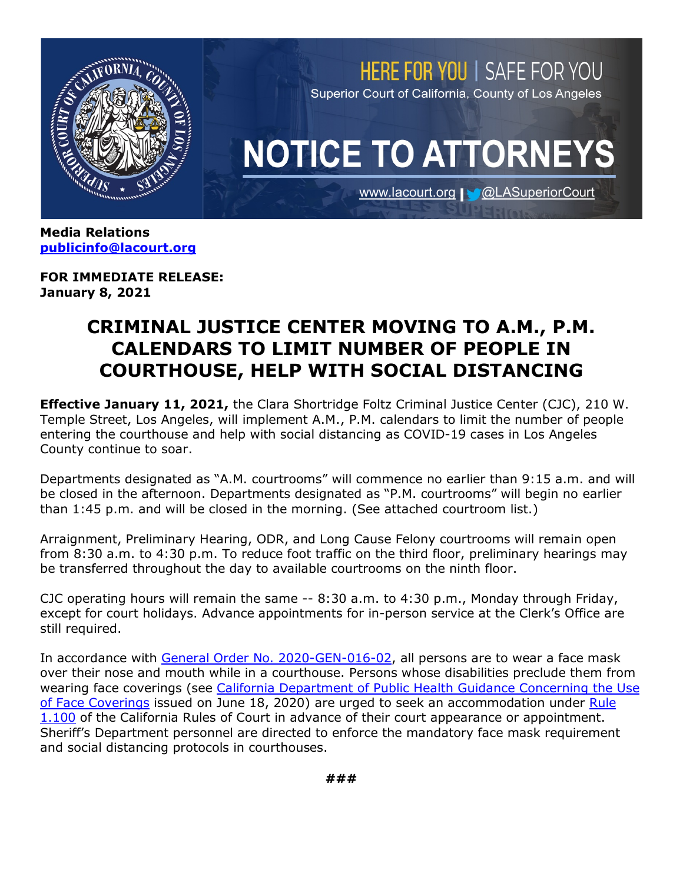

**[publicinfo@lacourt.org](mailto:publicinfo@lacourt.org)**

**FOR IMMEDIATE RELEASE: January 8, 2021**

## **CRIMINAL JUSTICE CENTER MOVING TO A.M., P.M. CALENDARS TO LIMIT NUMBER OF PEOPLE IN COURTHOUSE, HELP WITH SOCIAL DISTANCING**

**Effective January 11, 2021,** the Clara Shortridge Foltz Criminal Justice Center (CJC), 210 W. Temple Street, Los Angeles, will implement A.M., P.M. calendars to limit the number of people entering the courthouse and help with social distancing as COVID-19 cases in Los Angeles County continue to soar.

Departments designated as "A.M. courtrooms" will commence no earlier than 9:15 a.m. and will be closed in the afternoon. Departments designated as "P.M. courtrooms" will begin no earlier than 1:45 p.m. and will be closed in the morning. (See attached courtroom list.)

Arraignment, Preliminary Hearing, ODR, and Long Cause Felony courtrooms will remain open from 8:30 a.m. to 4:30 p.m. To reduce foot traffic on the third floor, preliminary hearings may be transferred throughout the day to available courtrooms on the ninth floor.

CJC operating hours will remain the same -- 8:30 a.m. to 4:30 p.m., Monday through Friday, except for court holidays. Advance appointments for in-person service at the Clerk's Office are still required.

In accordance with [General Order No. 2020-GEN-016-02,](http://www.lacourt.org/newsmedia/uploads/1420201013163932020-GEN-016-02AdministrativeOrderofPJreFacialCoveringsandSocia....pdf) all persons are to wear a face mask over their nose and mouth while in a courthouse. Persons whose disabilities preclude them from wearing face coverings (see [California Department of Public Health Guidance Concerning the Use](https://www.cdph.ca.gov/Programs/CID/DCDC/CDPH%20Document%20Library/COVID-19/Guidance-for-Face-Coverings_06-18-2020.pdf)  [of Face Coverings](https://www.cdph.ca.gov/Programs/CID/DCDC/CDPH%20Document%20Library/COVID-19/Guidance-for-Face-Coverings_06-18-2020.pdf) issued on June 18, 2020) are urged to seek an accommodation under [Rule](https://www.courts.ca.gov/cms/rules/index.cfm?title=one&linkid=rule1_100)  [1.100](https://www.courts.ca.gov/cms/rules/index.cfm?title=one&linkid=rule1_100) of the California Rules of Court in advance of their court appearance or appointment. Sheriff's Department personnel are directed to enforce the mandatory face mask requirement and social distancing protocols in courthouses.